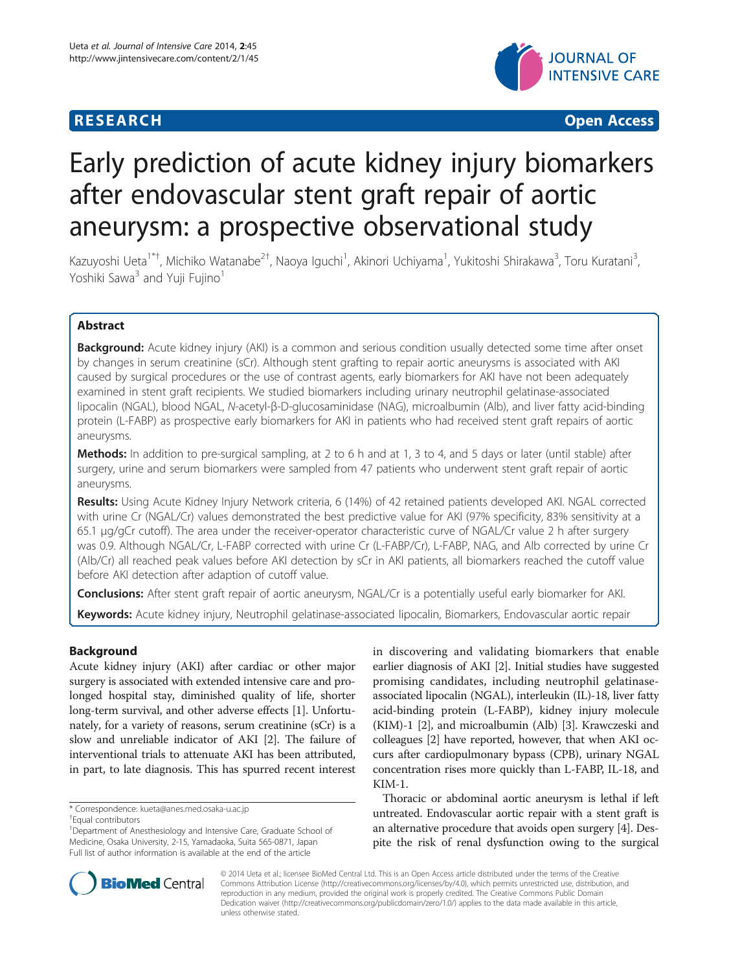## **RESEARCH CHINESE ARCH CHINESE ARCH CHINESE ARCH <b>CHINESE ARCH**



# Early prediction of acute kidney injury biomarkers after endovascular stent graft repair of aortic aneurysm: a prospective observational study

Kazuyoshi Ueta<sup>1\*†</sup>, Michiko Watanabe<sup>2†</sup>, Naoya Iguchi<sup>1</sup>, Akinori Uchiyama<sup>1</sup>, Yukitoshi Shirakawa<sup>3</sup>, Toru Kuratani<sup>3</sup> , Yoshiki Sawa<sup>3</sup> and Yuji Fujino<sup>1</sup>

## Abstract

**Background:** Acute kidney injury (AKI) is a common and serious condition usually detected some time after onset by changes in serum creatinine (sCr). Although stent grafting to repair aortic aneurysms is associated with AKI caused by surgical procedures or the use of contrast agents, early biomarkers for AKI have not been adequately examined in stent graft recipients. We studied biomarkers including urinary neutrophil gelatinase-associated lipocalin (NGAL), blood NGAL, N-acetyl-β-D-glucosaminidase (NAG), microalbumin (Alb), and liver fatty acid-binding protein (L-FABP) as prospective early biomarkers for AKI in patients who had received stent graft repairs of aortic aneurysms.

Methods: In addition to pre-surgical sampling, at 2 to 6 h and at 1, 3 to 4, and 5 days or later (until stable) after surgery, urine and serum biomarkers were sampled from 47 patients who underwent stent graft repair of aortic aneurysms.

Results: Using Acute Kidney Injury Network criteria, 6 (14%) of 42 retained patients developed AKI. NGAL corrected with urine Cr (NGAL/Cr) values demonstrated the best predictive value for AKI (97% specificity, 83% sensitivity at a 65.1 μg/gCr cutoff). The area under the receiver-operator characteristic curve of NGAL/Cr value 2 h after surgery was 0.9. Although NGAL/Cr, L-FABP corrected with urine Cr (L-FABP/Cr), L-FABP, NAG, and Alb corrected by urine Cr (Alb/Cr) all reached peak values before AKI detection by sCr in AKI patients, all biomarkers reached the cutoff value before AKI detection after adaption of cutoff value.

Conclusions: After stent graft repair of aortic aneurysm, NGAL/Cr is a potentially useful early biomarker for AKI.

Keywords: Acute kidney injury, Neutrophil gelatinase-associated lipocalin, Biomarkers, Endovascular aortic repair

## Background

Acute kidney injury (AKI) after cardiac or other major surgery is associated with extended intensive care and prolonged hospital stay, diminished quality of life, shorter long-term survival, and other adverse effects [\[1\]](#page-6-0). Unfortunately, for a variety of reasons, serum creatinine (sCr) is a slow and unreliable indicator of AKI [\[2](#page-6-0)]. The failure of interventional trials to attenuate AKI has been attributed, in part, to late diagnosis. This has spurred recent interest

in discovering and validating biomarkers that enable earlier diagnosis of AKI [\[2](#page-6-0)]. Initial studies have suggested promising candidates, including neutrophil gelatinaseassociated lipocalin (NGAL), interleukin (IL)-18, liver fatty acid-binding protein (L-FABP), kidney injury molecule (KIM)-1 [\[2](#page-6-0)], and microalbumin (Alb) [\[3](#page-6-0)]. Krawczeski and colleagues [[2\]](#page-6-0) have reported, however, that when AKI occurs after cardiopulmonary bypass (CPB), urinary NGAL concentration rises more quickly than L-FABP, IL-18, and KIM-1.

Thoracic or abdominal aortic aneurysm is lethal if left untreated. Endovascular aortic repair with a stent graft is an alternative procedure that avoids open surgery [\[4](#page-6-0)]. Despite the risk of renal dysfunction owing to the surgical



© 2014 Ueta et al.; licensee BioMed Central Ltd. This is an Open Access article distributed under the terms of the Creative Commons Attribution License (http://creativecommons.org/licenses/by/4.0), which permits unrestricted use, distribution, and reproduction in any medium, provided the original work is properly credited. The Creative Commons Public Domain Dedication waiver (http://creativecommons.org/publicdomain/zero/1.0/) applies to the data made available in this article, unless otherwise stated.

<sup>\*</sup> Correspondence: [kueta@anes.med.osaka-u.ac.jp](mailto:kueta@anes.med.osaka-u.ac.jp) †

Equal contributors

<sup>&</sup>lt;sup>1</sup>Department of Anesthesiology and Intensive Care, Graduate School of Medicine, Osaka University, 2-15, Yamadaoka, Suita 565-0871, Japan Full list of author information is available at the end of the article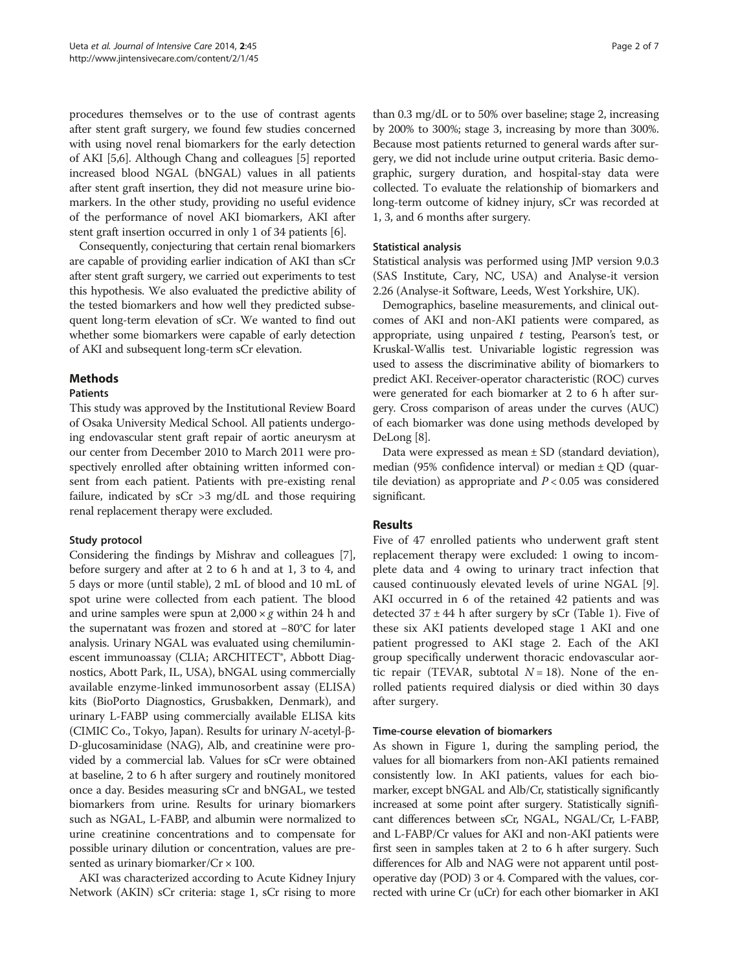procedures themselves or to the use of contrast agents after stent graft surgery, we found few studies concerned with using novel renal biomarkers for the early detection of AKI [\[5,6](#page-6-0)]. Although Chang and colleagues [\[5](#page-6-0)] reported increased blood NGAL (bNGAL) values in all patients after stent graft insertion, they did not measure urine biomarkers. In the other study, providing no useful evidence of the performance of novel AKI biomarkers, AKI after stent graft insertion occurred in only 1 of 34 patients [\[6\]](#page-6-0).

Consequently, conjecturing that certain renal biomarkers are capable of providing earlier indication of AKI than sCr after stent graft surgery, we carried out experiments to test this hypothesis. We also evaluated the predictive ability of the tested biomarkers and how well they predicted subsequent long-term elevation of sCr. We wanted to find out whether some biomarkers were capable of early detection of AKI and subsequent long-term sCr elevation.

## Methods

#### **Patients**

This study was approved by the Institutional Review Board of Osaka University Medical School. All patients undergoing endovascular stent graft repair of aortic aneurysm at our center from December 2010 to March 2011 were prospectively enrolled after obtaining written informed consent from each patient. Patients with pre-existing renal failure, indicated by  $sCr > 3$  mg/dL and those requiring renal replacement therapy were excluded.

## Study protocol

Considering the findings by Mishrav and colleagues [[7](#page-6-0)], before surgery and after at 2 to 6 h and at 1, 3 to 4, and 5 days or more (until stable), 2 mL of blood and 10 mL of spot urine were collected from each patient. The blood and urine samples were spun at  $2,000 \times g$  within 24 h and the supernatant was frozen and stored at −80°C for later analysis. Urinary NGAL was evaluated using chemiluminescent immunoassay (CLIA; ARCHITECT®, Abbott Diagnostics, Abott Park, IL, USA), bNGAL using commercially available enzyme-linked immunosorbent assay (ELISA) kits (BioPorto Diagnostics, Grusbakken, Denmark), and urinary L-FABP using commercially available ELISA kits (CIMIC Co., Tokyo, Japan). Results for urinary N-acetyl-β-D-glucosaminidase (NAG), Alb, and creatinine were provided by a commercial lab. Values for sCr were obtained at baseline, 2 to 6 h after surgery and routinely monitored once a day. Besides measuring sCr and bNGAL, we tested biomarkers from urine. Results for urinary biomarkers such as NGAL, L-FABP, and albumin were normalized to urine creatinine concentrations and to compensate for possible urinary dilution or concentration, values are presented as urinary biomarker/ $Cr \times 100$ .

AKI was characterized according to Acute Kidney Injury Network (AKIN) sCr criteria: stage 1, sCr rising to more

than 0.3 mg/dL or to 50% over baseline; stage 2, increasing by 200% to 300%; stage 3, increasing by more than 300%. Because most patients returned to general wards after surgery, we did not include urine output criteria. Basic demographic, surgery duration, and hospital-stay data were collected. To evaluate the relationship of biomarkers and long-term outcome of kidney injury, sCr was recorded at 1, 3, and 6 months after surgery.

## Statistical analysis

Statistical analysis was performed using JMP version 9.0.3 (SAS Institute, Cary, NC, USA) and Analyse-it version 2.26 (Analyse-it Software, Leeds, West Yorkshire, UK).

Demographics, baseline measurements, and clinical outcomes of AKI and non-AKI patients were compared, as appropriate, using unpaired  $t$  testing, Pearson's test, or Kruskal-Wallis test. Univariable logistic regression was used to assess the discriminative ability of biomarkers to predict AKI. Receiver-operator characteristic (ROC) curves were generated for each biomarker at 2 to 6 h after surgery. Cross comparison of areas under the curves (AUC) of each biomarker was done using methods developed by DeLong [\[8\]](#page-6-0).

Data were expressed as mean  $\pm$  SD (standard deviation), median (95% confidence interval) or median  $\pm$  QD (quartile deviation) as appropriate and  $P < 0.05$  was considered significant.

## Results

Five of 47 enrolled patients who underwent graft stent replacement therapy were excluded: 1 owing to incomplete data and 4 owing to urinary tract infection that caused continuously elevated levels of urine NGAL [\[9](#page-6-0)]. AKI occurred in 6 of the retained 42 patients and was detected  $37 \pm 44$  h after surgery by sCr (Table [1](#page-2-0)). Five of these six AKI patients developed stage 1 AKI and one patient progressed to AKI stage 2. Each of the AKI group specifically underwent thoracic endovascular aortic repair (TEVAR, subtotal  $N = 18$ ). None of the enrolled patients required dialysis or died within 30 days after surgery.

#### Time-course elevation of biomarkers

As shown in Figure [1](#page-2-0), during the sampling period, the values for all biomarkers from non-AKI patients remained consistently low. In AKI patients, values for each biomarker, except bNGAL and Alb/Cr, statistically significantly increased at some point after surgery. Statistically significant differences between sCr, NGAL, NGAL/Cr, L-FABP, and L-FABP/Cr values for AKI and non-AKI patients were first seen in samples taken at 2 to 6 h after surgery. Such differences for Alb and NAG were not apparent until postoperative day (POD) 3 or 4. Compared with the values, corrected with urine Cr (uCr) for each other biomarker in AKI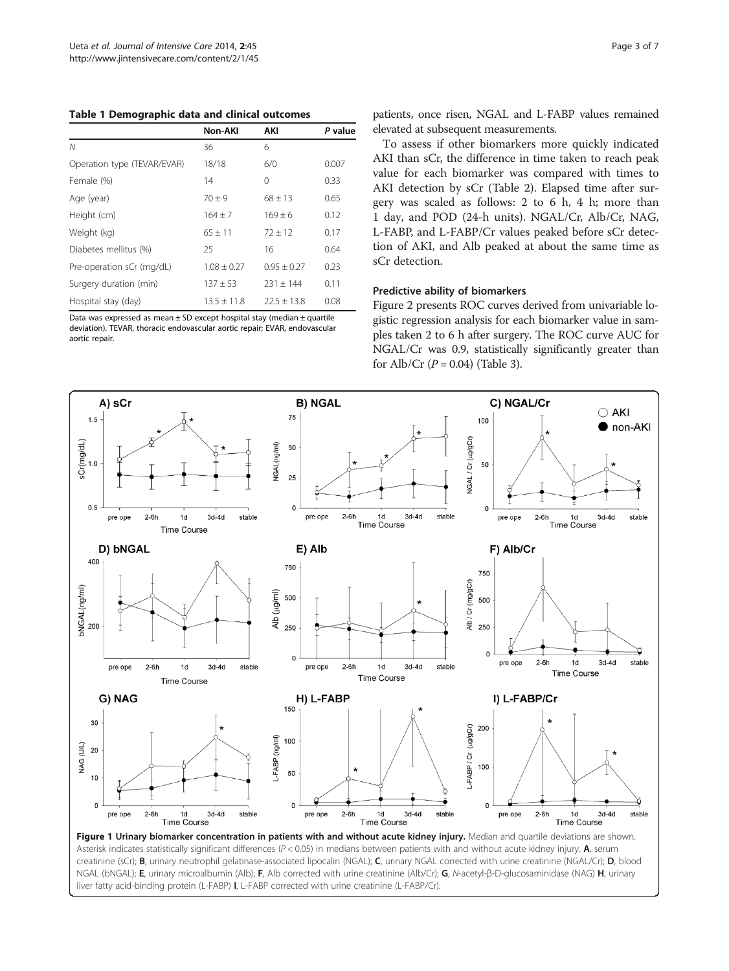<span id="page-2-0"></span>Table 1 Demographic data and clinical outcomes

|                             | Non-AKI       | AKI           | P value |
|-----------------------------|---------------|---------------|---------|
| N                           | 36            | 6             |         |
| Operation type (TEVAR/EVAR) | 18/18         | 6/0           | 0.007   |
| Female (%)                  | 14            | 0             | 0.33    |
| Age (year)                  | $70 + 9$      | $68 \pm 13$   | 0.65    |
| Height (cm)                 | $164 + 7$     | $169 \pm 6$   | 0.12    |
| Weight (kg)                 | $65 + 11$     | $72 + 12$     | 0.17    |
| Diabetes mellitus (%)       | 25            | 16            | 0.64    |
| Pre-operation sCr (mg/dL)   | $1.08 + 0.27$ | $0.95 + 0.27$ | 0.23    |
| Surgery duration (min)      | $137 + 53$    | $231 + 144$   | 0.11    |
| Hospital stay (day)         | $13.5 + 11.8$ | $22.5 + 13.8$ | 0.08    |

Data was expressed as mean  $\pm$  SD except hospital stay (median  $\pm$  quartile deviation). TEVAR, thoracic endovascular aortic repair; EVAR, endovascular aortic repair.

patients, once risen, NGAL and L-FABP values remained elevated at subsequent measurements.

To assess if other biomarkers more quickly indicated AKI than sCr, the difference in time taken to reach peak value for each biomarker was compared with times to AKI detection by sCr (Table [2](#page-3-0)). Elapsed time after surgery was scaled as follows: 2 to 6 h, 4 h; more than 1 day, and POD (24-h units). NGAL/Cr, Alb/Cr, NAG, L-FABP, and L-FABP/Cr values peaked before sCr detection of AKI, and Alb peaked at about the same time as sCr detection.

#### Predictive ability of biomarkers

Figure [2](#page-3-0) presents ROC curves derived from univariable logistic regression analysis for each biomarker value in samples taken 2 to 6 h after surgery. The ROC curve AUC for NGAL/Cr was 0.9, statistically significantly greater than for Alb/Cr  $(P = 0.04)$  (Table [3\)](#page-4-0).



creatinine (sCr); B, urinary neutrophil gelatinase-associated lipocalin (NGAL); C, urinary NGAL corrected with urine creatinine (NGAL/Cr); D, blood NGAL (bNGAL); E, urinary microalbumin (Alb); F, Alb corrected with urine creatinine (Alb/Cr); G, N-acetyl-β-D-glucosaminidase (NAG) H, urinary liver fatty acid-binding protein (L-FABP) I, L-FABP corrected with urine creatinine (L-FABP/Cr).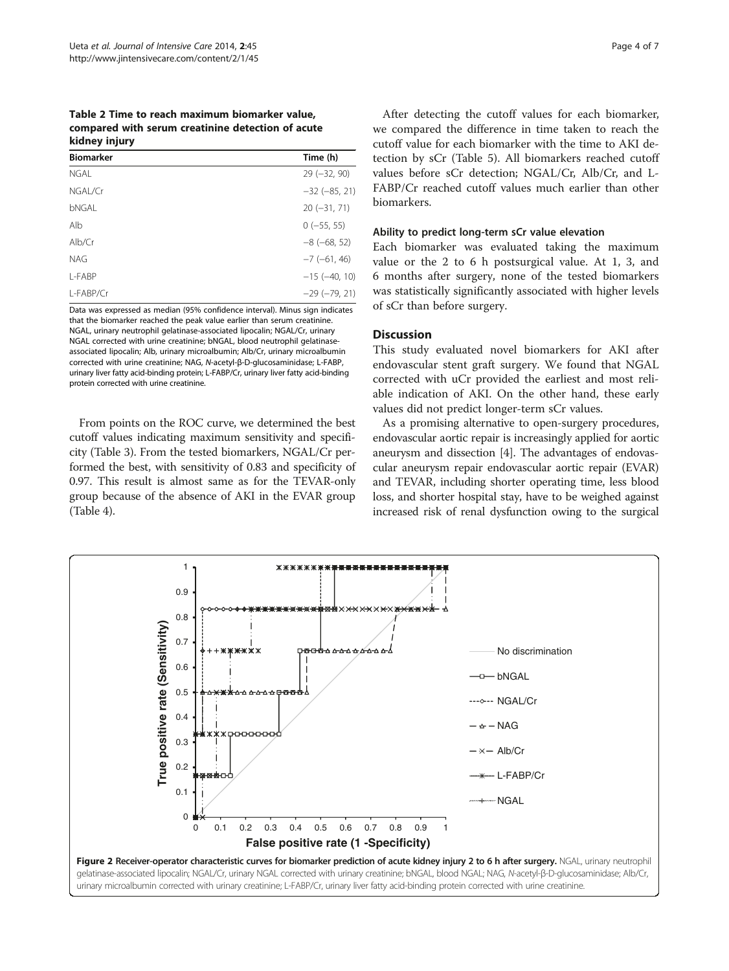<span id="page-3-0"></span>Table 2 Time to reach maximum biomarker value, compared with serum creatinine detection of acute kidney injury

| <b>Biomarker</b> | Time (h)           |
|------------------|--------------------|
| <b>NGAL</b>      | $29(-32, 90)$      |
| NGAL/Cr          | $-32 (-85, 21)$    |
| bNGAL            | $20(-31, 71)$      |
| Alb              | $0(-55, 55)$       |
| Alb/Cr           | $-8$ ( $-68, 52$ ) |
| <b>NAG</b>       | $-7$ ( $-61$ , 46) |
| L-FABP           | $-15 (-40, 10)$    |
| L-FABP/Cr        | $-29(-79, 21)$     |

Data was expressed as median (95% confidence interval). Minus sign indicates that the biomarker reached the peak value earlier than serum creatinine. NGAL, urinary neutrophil gelatinase-associated lipocalin; NGAL/Cr, urinary NGAL corrected with urine creatinine; bNGAL, blood neutrophil gelatinaseassociated lipocalin; Alb, urinary microalbumin; Alb/Cr, urinary microalbumin corrected with urine creatinine; NAG, N-acetyl-β-D-glucosaminidase; L-FABP, urinary liver fatty acid-binding protein; L-FABP/Cr, urinary liver fatty acid-binding protein corrected with urine creatinine.

From points on the ROC curve, we determined the best cutoff values indicating maximum sensitivity and specificity (Table [3](#page-4-0)). From the tested biomarkers, NGAL/Cr performed the best, with sensitivity of 0.83 and specificity of 0.97. This result is almost same as for the TEVAR-only group because of the absence of AKI in the EVAR group (Table [4\)](#page-4-0).

After detecting the cutoff values for each biomarker, we compared the difference in time taken to reach the cutoff value for each biomarker with the time to AKI detection by sCr (Table [5](#page-5-0)). All biomarkers reached cutoff values before sCr detection; NGAL/Cr, Alb/Cr, and L-FABP/Cr reached cutoff values much earlier than other biomarkers.

## Ability to predict long-term sCr value elevation

Each biomarker was evaluated taking the maximum value or the 2 to 6 h postsurgical value. At 1, 3, and 6 months after surgery, none of the tested biomarkers was statistically significantly associated with higher levels of sCr than before surgery.

#### **Discussion**

This study evaluated novel biomarkers for AKI after endovascular stent graft surgery. We found that NGAL corrected with uCr provided the earliest and most reliable indication of AKI. On the other hand, these early values did not predict longer-term sCr values.

As a promising alternative to open-surgery procedures, endovascular aortic repair is increasingly applied for aortic aneurysm and dissection [\[4](#page-6-0)]. The advantages of endovascular aneurysm repair endovascular aortic repair (EVAR) and TEVAR, including shorter operating time, less blood loss, and shorter hospital stay, have to be weighed against increased risk of renal dysfunction owing to the surgical

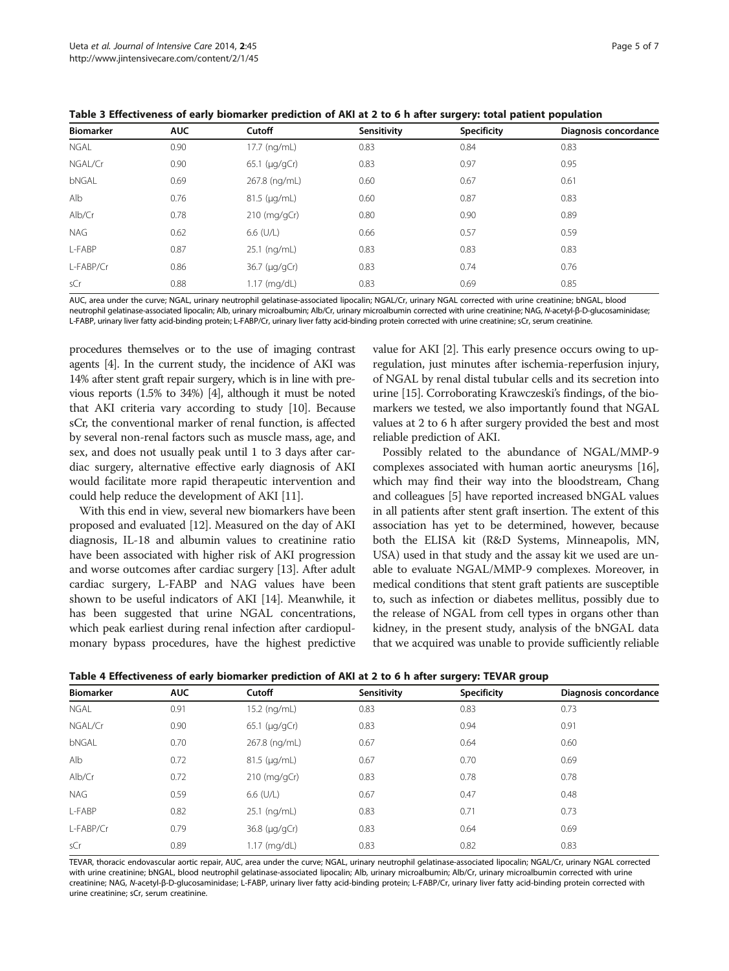<span id="page-4-0"></span>Table 3 Effectiveness of early biomarker prediction of AKI at 2 to 6 h after surgery: total patient population

| <b>Biomarker</b> | <b>AUC</b> | Cutoff                  | Sensitivity | Specificity | Diagnosis concordance |
|------------------|------------|-------------------------|-------------|-------------|-----------------------|
| NGAL             | 0.90       | 17.7 (ng/mL)            | 0.83        | 0.84        | 0.83                  |
| NGAL/Cr          | 0.90       | $65.1 \; (\mu q / qCr)$ | 0.83        | 0.97        | 0.95                  |
| bNGAL            | 0.69       | 267.8 (ng/mL)           | 0.60        | 0.67        | 0.61                  |
| Alb              | 0.76       | $81.5$ ( $\mu$ g/mL)    | 0.60        | 0.87        | 0.83                  |
| Alb/Cr           | 0.78       | $210$ (mg/gCr)          | 0.80        | 0.90        | 0.89                  |
| <b>NAG</b>       | 0.62       | $6.6$ (U/L)             | 0.66        | 0.57        | 0.59                  |
| L-FABP           | 0.87       | 25.1 (ng/mL)            | 0.83        | 0.83        | 0.83                  |
| L-FABP/Cr        | 0.86       | 36.7 (µg/gCr)           | 0.83        | 0.74        | 0.76                  |
| sCr              | 0.88       | 1.17 (mg/dL)            | 0.83        | 0.69        | 0.85                  |

AUC, area under the curve; NGAL, urinary neutrophil gelatinase-associated lipocalin; NGAL/Cr, urinary NGAL corrected with urine creatinine; bNGAL, blood neutrophil gelatinase-associated lipocalin; Alb, urinary microalbumin; Alb/Cr, urinary microalbumin corrected with urine creatinine; NAG, N-acetyl-β-D-glucosaminidase; L-FABP, urinary liver fatty acid-binding protein; L-FABP/Cr, urinary liver fatty acid-binding protein corrected with urine creatinine; sCr, serum creatinine.

procedures themselves or to the use of imaging contrast agents [\[4\]](#page-6-0). In the current study, the incidence of AKI was 14% after stent graft repair surgery, which is in line with previous reports (1.5% to 34%) [[4\]](#page-6-0), although it must be noted that AKI criteria vary according to study [[10\]](#page-6-0). Because sCr, the conventional marker of renal function, is affected by several non-renal factors such as muscle mass, age, and sex, and does not usually peak until 1 to 3 days after cardiac surgery, alternative effective early diagnosis of AKI would facilitate more rapid therapeutic intervention and could help reduce the development of AKI [\[11\]](#page-6-0).

With this end in view, several new biomarkers have been proposed and evaluated [[12](#page-6-0)]. Measured on the day of AKI diagnosis, IL-18 and albumin values to creatinine ratio have been associated with higher risk of AKI progression and worse outcomes after cardiac surgery [\[13\]](#page-6-0). After adult cardiac surgery, L-FABP and NAG values have been shown to be useful indicators of AKI [[14](#page-6-0)]. Meanwhile, it has been suggested that urine NGAL concentrations, which peak earliest during renal infection after cardiopulmonary bypass procedures, have the highest predictive value for AKI [[2\]](#page-6-0). This early presence occurs owing to upregulation, just minutes after ischemia-reperfusion injury, of NGAL by renal distal tubular cells and its secretion into urine [\[15\]](#page-6-0). Corroborating Krawczeski's findings, of the biomarkers we tested, we also importantly found that NGAL values at 2 to 6 h after surgery provided the best and most reliable prediction of AKI.

Possibly related to the abundance of NGAL/MMP-9 complexes associated with human aortic aneurysms [[16](#page-6-0)], which may find their way into the bloodstream, Chang and colleagues [\[5](#page-6-0)] have reported increased bNGAL values in all patients after stent graft insertion. The extent of this association has yet to be determined, however, because both the ELISA kit (R&D Systems, Minneapolis, MN, USA) used in that study and the assay kit we used are unable to evaluate NGAL/MMP-9 complexes. Moreover, in medical conditions that stent graft patients are susceptible to, such as infection or diabetes mellitus, possibly due to the release of NGAL from cell types in organs other than kidney, in the present study, analysis of the bNGAL data that we acquired was unable to provide sufficiently reliable

| Table 4 Effectiveness of early biomarker prediction of AKI at 2 to 6 h after surgery: TEVAR group |  |  |  |  |  |  |
|---------------------------------------------------------------------------------------------------|--|--|--|--|--|--|
|---------------------------------------------------------------------------------------------------|--|--|--|--|--|--|

| <b>Biomarker</b> | <b>AUC</b> | Cutoff                | Sensitivity | Specificity | Diagnosis concordance |  |
|------------------|------------|-----------------------|-------------|-------------|-----------------------|--|
| NGAL             | 0.91       | 15.2 (ng/mL)          | 0.83        | 0.83        | 0.73                  |  |
| NGAL/Cr          | 0.90       | $65.1 \, (\mu q/qCr)$ | 0.83        | 0.94        | 0.91                  |  |
| bNGAL            | 0.70       | 267.8 (ng/mL)         | 0.67        | 0.64        | 0.60                  |  |
| Alb              | 0.72       | $81.5$ ( $\mu$ g/mL)  | 0.67        | 0.70        | 0.69                  |  |
| Alb/Cr           | 0.72       | $210$ (mg/gCr)        | 0.83        | 0.78        | 0.78                  |  |
| <b>NAG</b>       | 0.59       | $6.6$ (U/L)           | 0.67        | 0.47        | 0.48                  |  |
| L-FABP           | 0.82       | 25.1 (ng/mL)          | 0.83        | 0.71        | 0.73                  |  |
| L-FABP/Cr        | 0.79       | $36.8 \, (\mu q/qCr)$ | 0.83        | 0.64        | 0.69                  |  |
| sCr              | 0.89       | 1.17 (mg/dL)          | 0.83        | 0.82        | 0.83                  |  |
|                  |            |                       |             |             |                       |  |

TEVAR, thoracic endovascular aortic repair, AUC, area under the curve; NGAL, urinary neutrophil gelatinase-associated lipocalin; NGAL/Cr, urinary NGAL corrected with urine creatinine; bNGAL, blood neutrophil gelatinase-associated lipocalin; Alb, urinary microalbumin; Alb/Cr, urinary microalbumin corrected with urine creatinine; NAG, N-acetyl-β-D-glucosaminidase; L-FABP, urinary liver fatty acid-binding protein; L-FABP/Cr, urinary liver fatty acid-binding protein corrected with urine creatinine; sCr, serum creatinine.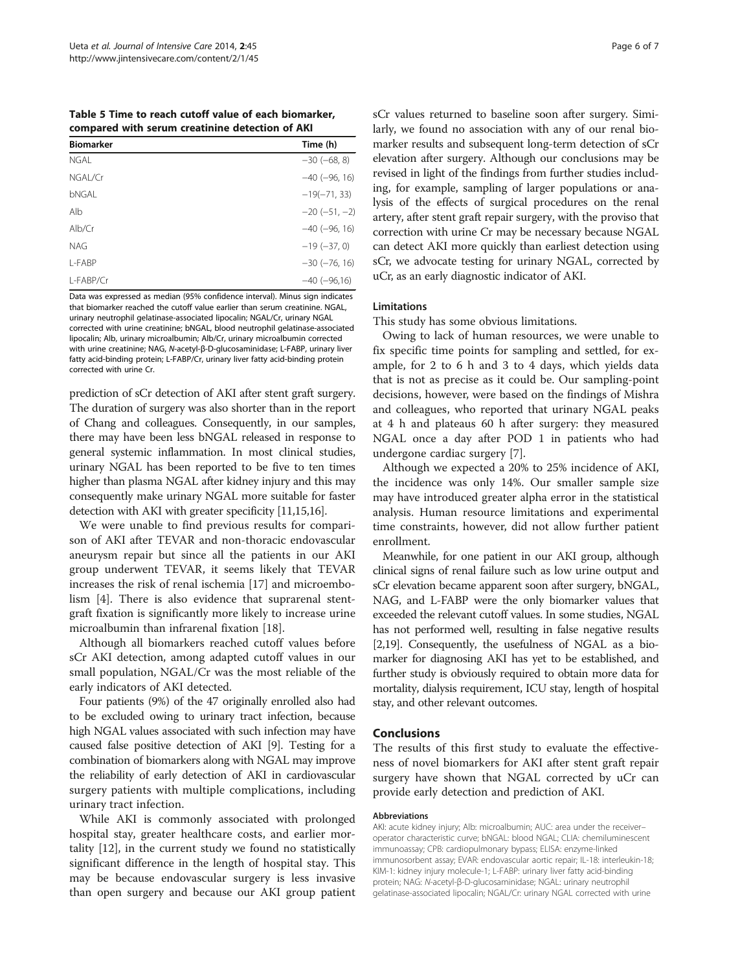<span id="page-5-0"></span>Table 5 Time to reach cutoff value of each biomarker, compared with serum creatinine detection of AKI

| <b>Biomarker</b> | Time (h)        |
|------------------|-----------------|
| <b>NGAI</b>      | $-30 (-68, 8)$  |
| NGAL/Cr          | $-40 (-96, 16)$ |
| bNGAI            | $-19(-71, 33)$  |
| Alb              | $-20(-51,-2)$   |
| Alb/Cr           | $-40 (-96, 16)$ |
| <b>NAG</b>       | $-19(-37, 0)$   |
| I-FABP           | $-30 (-76, 16)$ |
| L-FABP/Cr        | $-40 (-96,16)$  |
|                  |                 |

Data was expressed as median (95% confidence interval). Minus sign indicates that biomarker reached the cutoff value earlier than serum creatinine. NGAL, urinary neutrophil gelatinase-associated lipocalin; NGAL/Cr, urinary NGAL corrected with urine creatinine; bNGAL, blood neutrophil gelatinase-associated lipocalin; Alb, urinary microalbumin; Alb/Cr, urinary microalbumin corrected with urine creatinine; NAG, N-acetyl-β-D-glucosaminidase; L-FABP, urinary liver fatty acid-binding protein; L-FABP/Cr, urinary liver fatty acid-binding protein corrected with urine Cr.

prediction of sCr detection of AKI after stent graft surgery. The duration of surgery was also shorter than in the report of Chang and colleagues. Consequently, in our samples, there may have been less bNGAL released in response to general systemic inflammation. In most clinical studies, urinary NGAL has been reported to be five to ten times higher than plasma NGAL after kidney injury and this may consequently make urinary NGAL more suitable for faster detection with AKI with greater specificity [[11,15,16](#page-6-0)].

We were unable to find previous results for comparison of AKI after TEVAR and non-thoracic endovascular aneurysm repair but since all the patients in our AKI group underwent TEVAR, it seems likely that TEVAR increases the risk of renal ischemia [\[17](#page-6-0)] and microembolism [[4\]](#page-6-0). There is also evidence that suprarenal stentgraft fixation is significantly more likely to increase urine microalbumin than infrarenal fixation [[18](#page-6-0)].

Although all biomarkers reached cutoff values before sCr AKI detection, among adapted cutoff values in our small population, NGAL/Cr was the most reliable of the early indicators of AKI detected.

Four patients (9%) of the 47 originally enrolled also had to be excluded owing to urinary tract infection, because high NGAL values associated with such infection may have caused false positive detection of AKI [[9](#page-6-0)]. Testing for a combination of biomarkers along with NGAL may improve the reliability of early detection of AKI in cardiovascular surgery patients with multiple complications, including urinary tract infection.

While AKI is commonly associated with prolonged hospital stay, greater healthcare costs, and earlier mortality [[12](#page-6-0)], in the current study we found no statistically significant difference in the length of hospital stay. This may be because endovascular surgery is less invasive than open surgery and because our AKI group patient sCr values returned to baseline soon after surgery. Similarly, we found no association with any of our renal biomarker results and subsequent long-term detection of sCr elevation after surgery. Although our conclusions may be revised in light of the findings from further studies including, for example, sampling of larger populations or analysis of the effects of surgical procedures on the renal artery, after stent graft repair surgery, with the proviso that correction with urine Cr may be necessary because NGAL can detect AKI more quickly than earliest detection using sCr, we advocate testing for urinary NGAL, corrected by uCr, as an early diagnostic indicator of AKI.

## Limitations

This study has some obvious limitations.

Owing to lack of human resources, we were unable to fix specific time points for sampling and settled, for example, for 2 to 6 h and 3 to 4 days, which yields data that is not as precise as it could be. Our sampling-point decisions, however, were based on the findings of Mishra and colleagues, who reported that urinary NGAL peaks at 4 h and plateaus 60 h after surgery: they measured NGAL once a day after POD 1 in patients who had undergone cardiac surgery [\[7](#page-6-0)].

Although we expected a 20% to 25% incidence of AKI, the incidence was only 14%. Our smaller sample size may have introduced greater alpha error in the statistical analysis. Human resource limitations and experimental time constraints, however, did not allow further patient enrollment.

Meanwhile, for one patient in our AKI group, although clinical signs of renal failure such as low urine output and sCr elevation became apparent soon after surgery, bNGAL, NAG, and L-FABP were the only biomarker values that exceeded the relevant cutoff values. In some studies, NGAL has not performed well, resulting in false negative results [[2,19\]](#page-6-0). Consequently, the usefulness of NGAL as a biomarker for diagnosing AKI has yet to be established, and further study is obviously required to obtain more data for mortality, dialysis requirement, ICU stay, length of hospital stay, and other relevant outcomes.

#### Conclusions

The results of this first study to evaluate the effectiveness of novel biomarkers for AKI after stent graft repair surgery have shown that NGAL corrected by uCr can provide early detection and prediction of AKI.

#### Abbreviations

AKI: acute kidney injury; Alb: microalbumin; AUC: area under the receiver– operator characteristic curve; bNGAL: blood NGAL; CLIA: chemiluminescent immunoassay; CPB: cardiopulmonary bypass; ELISA: enzyme-linked immunosorbent assay; EVAR: endovascular aortic repair; IL-18: interleukin-18; KIM-1: kidney injury molecule-1; L-FABP: urinary liver fatty acid-binding protein; NAG: N-acetyl-β-D-glucosaminidase; NGAL: urinary neutrophil gelatinase-associated lipocalin; NGAL/Cr: urinary NGAL corrected with urine